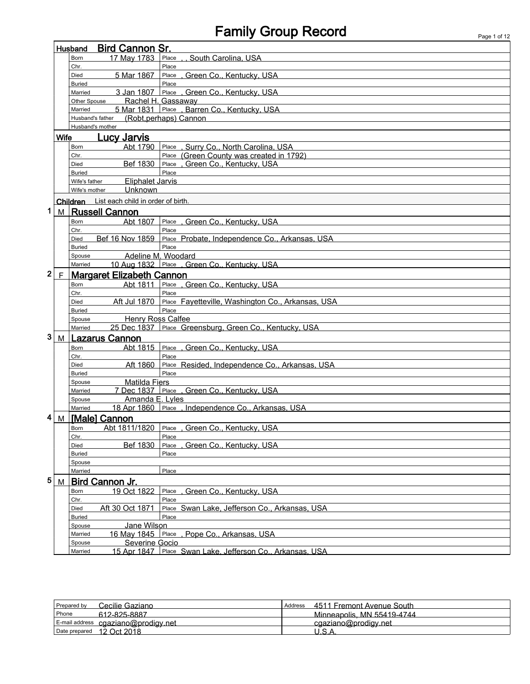# Family Group Record Page 1 of 12

|              |             | <b>Bird Cannon Sr.</b><br>Husband           |                                                                   |  |
|--------------|-------------|---------------------------------------------|-------------------------------------------------------------------|--|
|              |             | 17 May 1783<br>Born                         | Place<br>, South Carolina, USA                                    |  |
|              |             | Chr.                                        | Place                                                             |  |
|              |             | 5 Mar 1867<br>Died                          | Place<br>, Green Co., Kentucky, USA                               |  |
|              |             | <b>Buried</b>                               | Place                                                             |  |
|              |             | 3 Jan 1807<br>Married                       | Place Green Co., Kentucky, USA                                    |  |
|              |             | Other Spouse<br>Married                     | Rachel H. Gassaway<br>5 Mar 1831 Place, Barren Co., Kentucky, USA |  |
|              |             | Husband's father                            | (Robt, perhaps) Cannon                                            |  |
|              |             | Husband's mother                            |                                                                   |  |
|              | <b>Wife</b> | <u>Lucy Jarvis</u>                          |                                                                   |  |
|              |             | Born                                        | Abt 1790 Place, Surry Co., North Carolina, USA                    |  |
|              |             | Chr.                                        | Place (Green County was created in 1792)                          |  |
|              |             | Bef 1830<br><b>Died</b>                     | Place, Green Co., Kentucky, USA                                   |  |
|              |             | <b>Buried</b>                               | Place                                                             |  |
|              |             | <b>Eliphalet Jarvis</b><br>Wife's father    |                                                                   |  |
|              |             | Unknown<br>Wife's mother                    |                                                                   |  |
|              |             | Children List each child in order of birth. |                                                                   |  |
| 1            | M           | <b>Russell Cannon</b>                       |                                                                   |  |
|              |             | Abt 1807<br><b>Born</b>                     | Place, Green Co., Kentucky, USA                                   |  |
|              |             | Chr.                                        | Place                                                             |  |
|              |             | Bef 16 Nov 1859<br>Died                     | Place Probate, Independence Co., Arkansas, USA                    |  |
|              |             | <b>Buried</b>                               | Place                                                             |  |
|              |             | Spouse                                      | Adeline M. Woodard                                                |  |
|              |             | Married                                     | 10 Aug 1832 Place , Green Co., Kentucky, USA                      |  |
| $\mathbf{2}$ | F           | <b>Margaret Elizabeth Cannon</b>            |                                                                   |  |
|              |             | Abt 1811<br>Born                            | Place, Green Co., Kentucky, USA                                   |  |
|              |             | Chr.                                        | Place                                                             |  |
|              |             | Aft Jul 1870<br>Died                        | Place Fayetteville, Washington Co., Arkansas, USA                 |  |
|              |             | <b>Buried</b>                               | Place                                                             |  |
|              |             | <b>Henry Ross Calfee</b><br>Spouse          |                                                                   |  |
| 3            |             | 25 Dec 1837<br>Married                      | Place Greensburg, Green Co., Kentucky, USA                        |  |
|              | M           | <b>Lazarus Cannon</b>                       |                                                                   |  |
|              |             | Born                                        | Abt 1815 Place, Green Co., Kentucky, USA                          |  |
|              |             | Chr.<br>Aft 1860<br>Died                    | Place<br>Place Resided, Independence Co., Arkansas, USA           |  |
|              |             | <b>Buried</b>                               | Place                                                             |  |
|              |             | <b>Matilda Fiers</b><br>Spouse              |                                                                   |  |
|              |             | Married                                     | 7 Dec 1837 Place, Green Co., Kentucky, USA                        |  |
|              |             | Amanda E. Lyles<br>Spouse                   |                                                                   |  |
|              |             | Married                                     | 18 Apr 1860 Place, Independence Co., Arkansas, USA                |  |
| 4            | M           | [Male] Cannon                               |                                                                   |  |
|              |             | Born                                        | Abt 1811/1820 Place . Green Co., Kentucky, USA                    |  |
|              |             | Chr.                                        | Place                                                             |  |
|              |             | Bef 1830<br>Died                            | , Green Co., Kentucky, USA<br>Place                               |  |
|              |             | <b>Buried</b>                               | Place                                                             |  |
|              |             | Spouse                                      |                                                                   |  |
|              |             | Married                                     | Place                                                             |  |
| 5            | M           | Bird Cannon Jr.                             |                                                                   |  |
|              |             | 19 Oct 1822<br>Born                         | Green Co., Kentucky, USA<br>Place                                 |  |
|              |             | Chr.                                        | Place                                                             |  |
|              |             | Aft 30 Oct 1871<br>Died                     | Place Swan Lake, Jefferson Co., Arkansas, USA                     |  |
|              |             | <b>Buried</b><br>Jane Wilson                | Place                                                             |  |
|              |             | Spouse<br>16 May 1845 Place<br>Married      | , Pope Co., Arkansas, USA                                         |  |
|              |             | Severine Gocio<br>Spouse                    |                                                                   |  |
|              |             |                                             |                                                                   |  |

Married 15 Apr 1847 Place Swan Lake, Jefferson Co., Arkansas, USA

| Prepared by   | Cecilie Gaziano                     | Address | 4511 Fremont Avenue South  |
|---------------|-------------------------------------|---------|----------------------------|
| Phone         | 612-825-8887                        |         | Minneapolis, MN 55419-4744 |
|               | E-mail address cgaziano@prodigy.net |         | cgaziano@prodigy.net       |
| Date prepared | 12 Oct 2018                         |         | $\sqrt{2}$                 |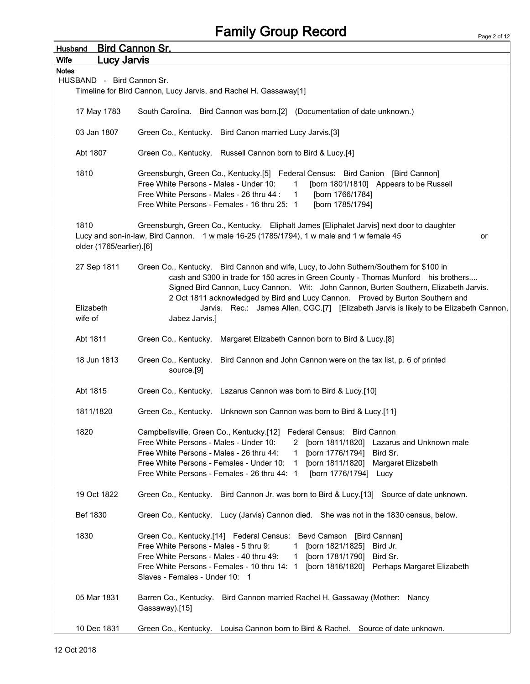| <b>Husband</b>                   | <u>Bird Cannon Sr.</u>                                                                                                                                                                                                                                                                                                                                                                                    |
|----------------------------------|-----------------------------------------------------------------------------------------------------------------------------------------------------------------------------------------------------------------------------------------------------------------------------------------------------------------------------------------------------------------------------------------------------------|
| Wife<br><u>Lucy Jarvis</u>       |                                                                                                                                                                                                                                                                                                                                                                                                           |
| <b>Notes</b>                     |                                                                                                                                                                                                                                                                                                                                                                                                           |
| HUSBAND - Bird Cannon Sr.        |                                                                                                                                                                                                                                                                                                                                                                                                           |
|                                  | Timeline for Bird Cannon, Lucy Jarvis, and Rachel H. Gassaway[1]                                                                                                                                                                                                                                                                                                                                          |
| 17 May 1783                      | South Carolina. Bird Cannon was born.[2] (Documentation of date unknown.)                                                                                                                                                                                                                                                                                                                                 |
| 03 Jan 1807                      | Green Co., Kentucky. Bird Canon married Lucy Jarvis.[3]                                                                                                                                                                                                                                                                                                                                                   |
| Abt 1807                         | Green Co., Kentucky. Russell Cannon born to Bird & Lucy.[4]                                                                                                                                                                                                                                                                                                                                               |
| 1810                             | Greensburgh, Green Co., Kentucky.[5] Federal Census: Bird Canion [Bird Cannon]<br>Free White Persons - Males - Under 10:<br>[born 1801/1810] Appears to be Russell<br>$\overline{1}$<br>Free White Persons - Males - 26 thru 44 :<br>[born 1766/1784]<br>$\overline{1}$<br>Free White Persons - Females - 16 thru 25: 1<br>[born 1785/1794]                                                               |
| 1810<br>older (1765/earlier).[6] | Greensburgh, Green Co., Kentucky. Eliphalt James [Eliphalet Jarvis] next door to daughter<br>Lucy and son-in-law, Bird Cannon. 1 w male 16-25 (1785/1794), 1 w male and 1 w female 45<br>or                                                                                                                                                                                                               |
| 27 Sep 1811                      | Green Co., Kentucky. Bird Cannon and wife, Lucy, to John Suthern/Southern for \$100 in<br>cash and \$300 in trade for 150 acres in Green County - Thomas Munford his brothers<br>Signed Bird Cannon, Lucy Cannon. Wit: John Cannon, Burten Southern, Elizabeth Jarvis.<br>2 Oct 1811 acknowledged by Bird and Lucy Cannon. Proved by Burton Southern and                                                  |
| Elizabeth<br>wife of             | Jarvis. Rec.: James Allen, CGC.[7] [Elizabeth Jarvis is likely to be Elizabeth Cannon,<br>Jabez Jarvis.]                                                                                                                                                                                                                                                                                                  |
| Abt 1811                         | Green Co., Kentucky. Margaret Elizabeth Cannon born to Bird & Lucy.[8]                                                                                                                                                                                                                                                                                                                                    |
| 18 Jun 1813                      | Green Co., Kentucky. Bird Cannon and John Cannon were on the tax list, p. 6 of printed<br>source.[9]                                                                                                                                                                                                                                                                                                      |
| Abt 1815                         | Green Co., Kentucky. Lazarus Cannon was born to Bird & Lucy.[10]                                                                                                                                                                                                                                                                                                                                          |
| 1811/1820                        | Green Co., Kentucky. Unknown son Cannon was born to Bird & Lucy.[11]                                                                                                                                                                                                                                                                                                                                      |
| 1820                             | Campbellsville, Green Co., Kentucky.[12] Federal Census: Bird Cannon<br>Free White Persons - Males - Under 10:<br>2 [born 1811/1820] Lazarus and Unknown male<br>Free White Persons - Males - 26 thru 44:<br>[born 1776/1794] Bird Sr.<br>1<br>Free White Persons - Females - Under 10: 1<br>[born 1811/1820] Margaret Elizabeth<br>Free White Persons - Females - 26 thru 44: 1<br>[born 1776/1794] Lucy |
| 19 Oct 1822                      | Green Co., Kentucky. Bird Cannon Jr. was born to Bird & Lucy.[13] Source of date unknown.                                                                                                                                                                                                                                                                                                                 |
| Bef 1830                         | Green Co., Kentucky. Lucy (Jarvis) Cannon died. She was not in the 1830 census, below.                                                                                                                                                                                                                                                                                                                    |
| 1830                             | Green Co., Kentucky.[14] Federal Census: Bevd Camson [Bird Cannan]<br>Free White Persons - Males - 5 thru 9: 1 [born 1821/1825] Bird Jr.<br>Free White Persons - Males - 40 thru 49:<br>1 [born 1781/1790] Bird Sr.<br>Free White Persons - Females - 10 thru 14: 1 [born 1816/1820] Perhaps Margaret Elizabeth<br>Slaves - Females - Under 10: 1                                                         |
| 05 Mar 1831                      | Barren Co., Kentucky. Bird Cannon married Rachel H. Gassaway (Mother: Nancy<br>Gassaway).[15]                                                                                                                                                                                                                                                                                                             |
| 10 Dec 1831                      | Green Co., Kentucky. Louisa Cannon born to Bird & Rachel. Source of date unknown.                                                                                                                                                                                                                                                                                                                         |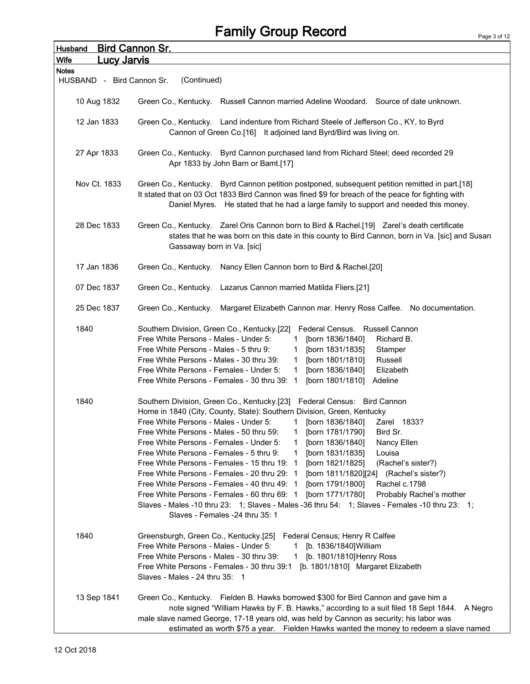| <b>Husband</b>                    | <b>Bird Cannon Sr.</b>                                                                                                                                                                                                                                                                                                                                                                                                                                                                                                                                                                                                                                                                                                                                                                                                                                                                                                                                                                          |
|-----------------------------------|-------------------------------------------------------------------------------------------------------------------------------------------------------------------------------------------------------------------------------------------------------------------------------------------------------------------------------------------------------------------------------------------------------------------------------------------------------------------------------------------------------------------------------------------------------------------------------------------------------------------------------------------------------------------------------------------------------------------------------------------------------------------------------------------------------------------------------------------------------------------------------------------------------------------------------------------------------------------------------------------------|
| <b>Wife</b><br><u>Lucy Jarvis</u> |                                                                                                                                                                                                                                                                                                                                                                                                                                                                                                                                                                                                                                                                                                                                                                                                                                                                                                                                                                                                 |
| <b>Notes</b>                      |                                                                                                                                                                                                                                                                                                                                                                                                                                                                                                                                                                                                                                                                                                                                                                                                                                                                                                                                                                                                 |
| HUSBAND - Bird Cannon Sr.         | (Continued)                                                                                                                                                                                                                                                                                                                                                                                                                                                                                                                                                                                                                                                                                                                                                                                                                                                                                                                                                                                     |
| 10 Aug 1832                       | Green Co., Kentucky. Russell Cannon married Adeline Woodard. Source of date unknown.                                                                                                                                                                                                                                                                                                                                                                                                                                                                                                                                                                                                                                                                                                                                                                                                                                                                                                            |
| 12 Jan 1833                       | Green Co., Kentucky. Land indenture from Richard Steele of Jefferson Co., KY, to Byrd<br>Cannon of Green Co.[16] It adjoined land Byrd/Bird was living on.                                                                                                                                                                                                                                                                                                                                                                                                                                                                                                                                                                                                                                                                                                                                                                                                                                      |
| 27 Apr 1833                       | Green Co., Kentucky. Byrd Cannon purchased land from Richard Steel; deed recorded 29<br>Apr 1833 by John Barn or Bamt.[17]                                                                                                                                                                                                                                                                                                                                                                                                                                                                                                                                                                                                                                                                                                                                                                                                                                                                      |
| Nov Ct. 1833                      | Green Co., Kentucky. Byrd Cannon petition postponed, subsequent petition remitted in part.[18]<br>It stated that on 03 Oct 1833 Bird Cannon was fined \$9 for breach of the peace for fighting with<br>Daniel Myres. He stated that he had a large family to support and needed this money.                                                                                                                                                                                                                                                                                                                                                                                                                                                                                                                                                                                                                                                                                                     |
| 28 Dec 1833                       | Green Co., Kentucky. Zarel Oris Cannon born to Bird & Rachel.[19] Zarel's death certificate<br>states that he was born on this date in this county to Bird Cannon, born in Va. [sic] and Susan<br>Gassaway born in Va. [sic]                                                                                                                                                                                                                                                                                                                                                                                                                                                                                                                                                                                                                                                                                                                                                                    |
| 17 Jan 1836                       | Green Co., Kentucky. Nancy Ellen Cannon born to Bird & Rachel.[20]                                                                                                                                                                                                                                                                                                                                                                                                                                                                                                                                                                                                                                                                                                                                                                                                                                                                                                                              |
| 07 Dec 1837                       | Green Co., Kentucky. Lazarus Cannon married Matilda Fliers.[21]                                                                                                                                                                                                                                                                                                                                                                                                                                                                                                                                                                                                                                                                                                                                                                                                                                                                                                                                 |
| 25 Dec 1837                       | Green Co., Kentucky. Margaret Elizabeth Cannon mar. Henry Ross Calfee. No documentation.                                                                                                                                                                                                                                                                                                                                                                                                                                                                                                                                                                                                                                                                                                                                                                                                                                                                                                        |
| 1840                              | Southern Division, Green Co., Kentucky.[22]<br>Federal Census. Russell Cannon<br>Free White Persons - Males - Under 5:<br>1 [born 1836/1840]<br>Richard B.<br>Free White Persons - Males - 5 thru 9:<br>[born 1831/1835]<br>Stamper<br>$\mathbf{1}$<br>Free White Persons - Males - 30 thru 39:<br>[born 1801/1810]<br>Russell<br>1<br>Free White Persons - Females - Under 5:<br>[born 1836/1840]<br>$\mathbf{1}$<br>Elizabeth<br>Free White Persons - Females - 30 thru 39: 1<br>[born 1801/1810]<br>Adeline                                                                                                                                                                                                                                                                                                                                                                                                                                                                                  |
| 1840                              | Southern Division, Green Co., Kentucky.[23] Federal Census: Bird Cannon<br>Home in 1840 (City, County, State): Southern Division, Green, Kentucky<br>Free White Persons - Males - Under 5:<br>[born 1836/1840]<br>1<br>Zarel 1833?<br>Free White Persons - Males - 50 thru 59:<br>Bird Sr.<br>[born 1781/1790]<br>1<br>Free White Persons - Females - Under 5:<br>[born 1836/1840]<br>Nancy Ellen<br>Free White Persons - Females - 5 thru 9:<br>[born 1831/1835]<br>Louisa<br>1<br>Free White Persons - Females - 15 thru 19: 1<br>[born 1821/1825]<br>(Rachel's sister?)<br>Free White Persons - Females - 20 thru 29: 1<br>[born 1811/1820][24] (Rachel's sister?)<br>Free White Persons - Females - 40 thru 49: 1<br>[born 1791/1800]<br>Rachel c.1798<br>Free White Persons - Females - 60 thru 69: 1<br>[born 1771/1780]<br>Probably Rachel's mother<br>Slaves - Males -10 thru 23: 1; Slaves - Males -36 thru 54: 1; Slaves - Females -10 thru 23: 1;<br>Slaves - Females -24 thru 35: 1 |
| 1840                              | Greensburgh, Green Co., Kentucky.[25]<br>Federal Census; Henry R Calfee<br>Free White Persons - Males - Under 5:<br>[b. 1836/1840] William<br>1.<br>Free White Persons - Males - 30 thru 39:<br>[b. 1801/1810] Henry Ross<br>$\mathbf{1}$<br>[b. 1801/1810] Margaret Elizabeth<br>Free White Persons - Females - 30 thru 39:1<br>Slaves - Males - 24 thru 35: 1                                                                                                                                                                                                                                                                                                                                                                                                                                                                                                                                                                                                                                 |
| 13 Sep 1841                       | Green Co., Kentucky. Fielden B. Hawks borrowed \$300 for Bird Cannon and gave him a<br>note signed "William Hawks by F. B. Hawks," according to a suit filed 18 Sept 1844. A Negro<br>male slave named George, 17-18 years old, was held by Cannon as security; his labor was<br>estimated as worth \$75 a year. Fielden Hawks wanted the money to redeem a slave named                                                                                                                                                                                                                                                                                                                                                                                                                                                                                                                                                                                                                         |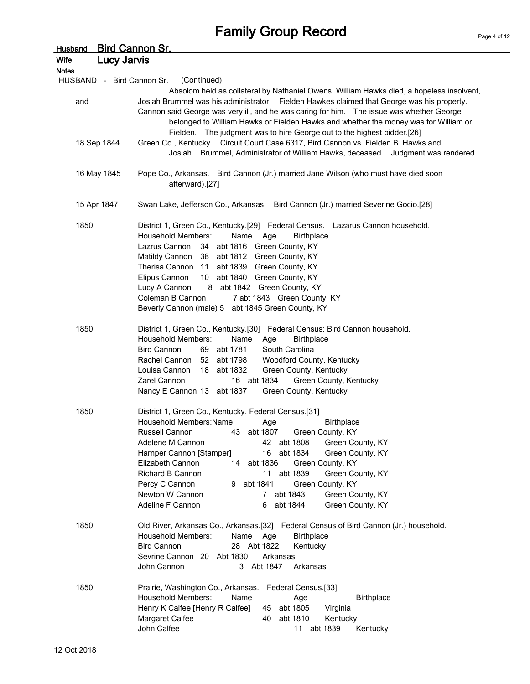| <b>Husband</b>             | <u>Bird Cannon Sr.</u>                                                                                                                                                                                                                                                                                                                                                     |
|----------------------------|----------------------------------------------------------------------------------------------------------------------------------------------------------------------------------------------------------------------------------------------------------------------------------------------------------------------------------------------------------------------------|
| Wife<br><u>Lucy Jarvis</u> |                                                                                                                                                                                                                                                                                                                                                                            |
| <b>Notes</b>               |                                                                                                                                                                                                                                                                                                                                                                            |
| HUSBAND - Bird Cannon Sr.  | (Continued)                                                                                                                                                                                                                                                                                                                                                                |
| and                        | Absolom held as collateral by Nathaniel Owens. William Hawks died, a hopeless insolvent,<br>Josiah Brummel was his administrator. Fielden Hawkes claimed that George was his property.<br>Cannon said George was very ill, and he was caring for him.  The issue was whether George<br>belonged to William Hawks or Fielden Hawks and whether the money was for William or |
| 18 Sep 1844                | Fielden. The judgment was to hire George out to the highest bidder.[26]<br>Green Co., Kentucky. Circuit Court Case 6317, Bird Cannon vs. Fielden B. Hawks and<br>Josiah Brummel, Administrator of William Hawks, deceased. Judgment was rendered.                                                                                                                          |
| 16 May 1845                | Pope Co., Arkansas. Bird Cannon (Jr.) married Jane Wilson (who must have died soon<br>afterward).[27]                                                                                                                                                                                                                                                                      |
| 15 Apr 1847                | Swan Lake, Jefferson Co., Arkansas. Bird Cannon (Jr.) married Severine Gocio.[28]                                                                                                                                                                                                                                                                                          |
| 1850                       | District 1, Green Co., Kentucky.[29] Federal Census. Lazarus Cannon household.<br>Household Members:<br>Name<br>Age<br><b>Birthplace</b>                                                                                                                                                                                                                                   |
|                            | Lazrus Cannon<br>34 abt 1816 Green County, KY                                                                                                                                                                                                                                                                                                                              |
|                            | Matildy Cannon 38 abt 1812 Green County, KY                                                                                                                                                                                                                                                                                                                                |
|                            | Therisa Cannon 11 abt 1839 Green County, KY                                                                                                                                                                                                                                                                                                                                |
|                            | Elipus Cannon<br>10 abt 1840 Green County, KY<br>Lucy A Cannon<br>8 abt 1842 Green County, KY                                                                                                                                                                                                                                                                              |
|                            | Coleman B Cannon<br>7 abt 1843 Green County, KY                                                                                                                                                                                                                                                                                                                            |
|                            | Beverly Cannon (male) 5 abt 1845 Green County, KY                                                                                                                                                                                                                                                                                                                          |
| 1850                       | District 1, Green Co., Kentucky.[30] Federal Census: Bird Cannon household.<br><b>Household Members:</b><br>Name<br><b>Birthplace</b><br>Age                                                                                                                                                                                                                               |
|                            | <b>Bird Cannon</b><br>69 abt 1781<br>South Carolina                                                                                                                                                                                                                                                                                                                        |
|                            | Woodford County, Kentucky<br>Rachel Cannon<br>52 abt 1798<br>Louisa Cannon<br>18 abt 1832                                                                                                                                                                                                                                                                                  |
|                            | Green County, Kentucky<br>16 abt 1834<br>Green County, Kentucky<br>Zarel Cannon                                                                                                                                                                                                                                                                                            |
|                            | Nancy E Cannon 13 abt 1837<br>Green County, Kentucky                                                                                                                                                                                                                                                                                                                       |
| 1850                       | District 1, Green Co., Kentucky. Federal Census.[31]                                                                                                                                                                                                                                                                                                                       |
|                            | Household Members: Name<br><b>Birthplace</b><br>Age                                                                                                                                                                                                                                                                                                                        |
|                            | Russell Cannon<br>abt 1807<br>Green County, KY<br>43<br>Adelene M Cannon<br>42 abt 1808<br>Green County, KY                                                                                                                                                                                                                                                                |
|                            | abt 1834<br>Harnper Cannon [Stamper]<br>16<br>Green County, KY                                                                                                                                                                                                                                                                                                             |
|                            | 14 abt 1836<br>Elizabeth Cannon<br>Green County, KY                                                                                                                                                                                                                                                                                                                        |
|                            | abt 1839<br>Richard B Cannon<br>11<br>Green County, KY                                                                                                                                                                                                                                                                                                                     |
|                            | Percy C Cannon<br>abt 1841<br>9.<br>Green County, KY                                                                                                                                                                                                                                                                                                                       |
|                            | Newton W Cannon<br>abt 1843<br>Green County, KY<br>7                                                                                                                                                                                                                                                                                                                       |
|                            | Adeline F Cannon<br>abt 1844<br>Green County, KY<br>6                                                                                                                                                                                                                                                                                                                      |
| 1850                       | Old River, Arkansas Co., Arkansas.[32] Federal Census of Bird Cannon (Jr.) household.                                                                                                                                                                                                                                                                                      |
|                            | <b>Household Members:</b><br><b>Birthplace</b><br>Name<br>Age                                                                                                                                                                                                                                                                                                              |
|                            | <b>Bird Cannon</b><br>28 Abt 1822<br>Kentucky                                                                                                                                                                                                                                                                                                                              |
|                            | Sevrine Cannon 20 Abt 1830<br>Arkansas<br>3 Abt 1847<br>John Cannon<br>Arkansas                                                                                                                                                                                                                                                                                            |
| 1850                       | Prairie, Washington Co., Arkansas.<br>Federal Census.[33]                                                                                                                                                                                                                                                                                                                  |
|                            | <b>Household Members:</b><br>Name<br>Age<br><b>Birthplace</b>                                                                                                                                                                                                                                                                                                              |
|                            | Henry K Calfee [Henry R Calfee]<br>abt 1805<br>45<br>Virginia                                                                                                                                                                                                                                                                                                              |
|                            | Margaret Calfee<br>abt 1810<br>40<br>Kentucky                                                                                                                                                                                                                                                                                                                              |
|                            | John Calfee<br>11 abt 1839<br>Kentucky                                                                                                                                                                                                                                                                                                                                     |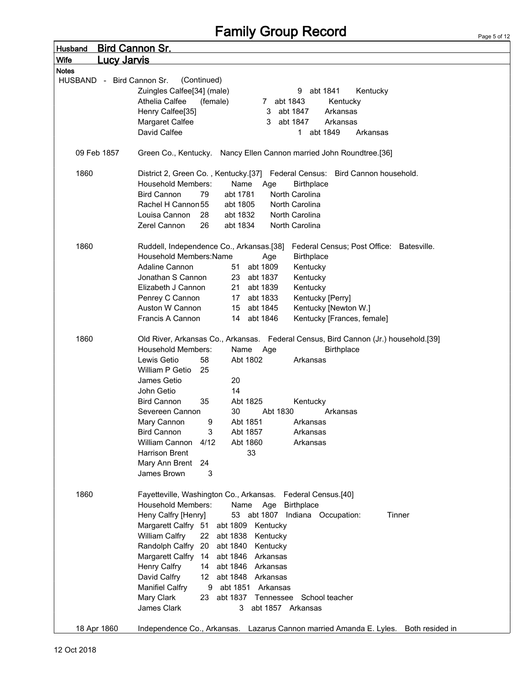| Husband      | <u>Bird Cannon Sr.</u>                                                                             |  |
|--------------|----------------------------------------------------------------------------------------------------|--|
| <b>Wife</b>  | <u>Lucy Jarvis</u>                                                                                 |  |
| <b>Notes</b> |                                                                                                    |  |
|              | HUSBAND - Bird Cannon Sr.<br>(Continued)                                                           |  |
|              | Zuingles Calfee[34] (male)<br>abt 1841<br>9<br>Kentucky                                            |  |
|              | Athelia Calfee<br>(female)<br>7 abt 1843<br>Kentucky                                               |  |
|              | Henry Calfee[35]<br>abt 1847<br>Arkansas<br>3                                                      |  |
|              | Margaret Calfee<br>3<br>abt 1847<br>Arkansas                                                       |  |
|              | David Calfee<br>1 abt 1849<br>Arkansas                                                             |  |
|              |                                                                                                    |  |
|              | 09 Feb 1857<br>Green Co., Kentucky. Nancy Ellen Cannon married John Roundtree.[36]                 |  |
| 1860         | District 2, Green Co., Kentucky.[37] Federal Census: Bird Cannon household.                        |  |
|              | <b>Household Members:</b><br>Name<br><b>Birthplace</b><br>Age                                      |  |
|              | <b>Bird Cannon</b><br>79<br>abt 1781<br>North Carolina                                             |  |
|              | Rachel H Cannon 55<br>abt 1805<br>North Carolina                                                   |  |
|              | North Carolina<br>Louisa Cannon<br>28<br>abt 1832                                                  |  |
|              | Zerel Cannon<br>abt 1834<br>North Carolina<br>26                                                   |  |
|              |                                                                                                    |  |
| 1860         | Ruddell, Independence Co., Arkansas.[38]<br>Federal Census; Post Office: Batesville.               |  |
|              | Household Members: Name<br><b>Birthplace</b><br>Age                                                |  |
|              | Adaline Cannon<br>abt 1809<br>Kentucky<br>51                                                       |  |
|              | Jonathan S Cannon<br>23 abt 1837<br>Kentucky                                                       |  |
|              | Elizabeth J Cannon<br>21 abt 1839<br>Kentucky                                                      |  |
|              | Penrey C Cannon<br>17 abt 1833<br>Kentucky [Perry]                                                 |  |
|              | Auston W Cannon<br>abt 1845<br>Kentucky [Newton W.]<br>15                                          |  |
|              | Francis A Cannon<br>14 abt 1846<br>Kentucky [Frances, female]                                      |  |
|              |                                                                                                    |  |
| 1860         | Old River, Arkansas Co., Arkansas. Federal Census, Bird Cannon (Jr.) household.[39]                |  |
|              | <b>Household Members:</b><br>Name<br>Age<br><b>Birthplace</b>                                      |  |
|              | Abt 1802<br>Lewis Getio<br>58<br>Arkansas                                                          |  |
|              | William P Getio<br>25                                                                              |  |
|              | 20<br>James Getio                                                                                  |  |
|              | John Getio<br>14                                                                                   |  |
|              | <b>Bird Cannon</b><br>35<br>Abt 1825<br>Kentucky                                                   |  |
|              | Severeen Cannon<br>30<br>Abt 1830<br>Arkansas                                                      |  |
|              | Mary Cannon<br>Abt 1851<br>9<br>Arkansas                                                           |  |
|              | <b>Bird Cannon</b><br>3<br>Abt 1857<br>Arkansas                                                    |  |
|              | William Cannon 4/12<br>Abt 1860<br>Arkansas                                                        |  |
|              | 33<br>Harrison Brent                                                                               |  |
|              | Mary Ann Brent 24                                                                                  |  |
|              | James Brown<br>3                                                                                   |  |
|              |                                                                                                    |  |
| 1860         | Fayetteville, Washington Co., Arkansas. Federal Census.[40]                                        |  |
|              | <b>Household Members:</b><br>Name Age Birthplace                                                   |  |
|              | Heny Calfry [Henry]<br>53 abt 1807 Indiana Occupation:<br>Tinner                                   |  |
|              | Margarett Calfry 51 abt 1809 Kentucky                                                              |  |
|              | William Calfry<br>22 abt 1838 Kentucky                                                             |  |
|              | Randolph Calfry 20 abt 1840 Kentucky                                                               |  |
|              | Margarett Calfry 14 abt 1846 Arkansas                                                              |  |
|              | <b>Henry Calfry</b><br>14 abt 1846 Arkansas                                                        |  |
|              | David Calfry<br>12 abt 1848 Arkansas                                                               |  |
|              | <b>Manifiel Calfry</b><br>9 abt 1851 Arkansas                                                      |  |
|              | Mary Clark<br>23 abt 1837 Tennessee School teacher                                                 |  |
|              | James Clark<br>3 abt 1857 Arkansas                                                                 |  |
|              |                                                                                                    |  |
|              | Independence Co., Arkansas. Lazarus Cannon married Amanda E. Lyles. Both resided in<br>18 Apr 1860 |  |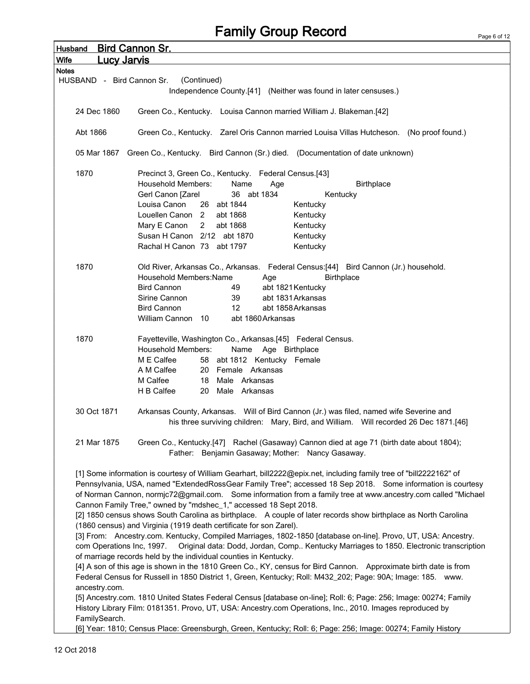| <b>Husband</b>                    | <b>Bird Cannon Sr.</b>                                                                                                                                                                                                          |
|-----------------------------------|---------------------------------------------------------------------------------------------------------------------------------------------------------------------------------------------------------------------------------|
| <b>Wife</b><br><u>Lucy Jarvis</u> |                                                                                                                                                                                                                                 |
| <b>Notes</b>                      |                                                                                                                                                                                                                                 |
| HUSBAND - Bird Cannon Sr.         | (Continued)                                                                                                                                                                                                                     |
|                                   | Independence County.[41] (Neither was found in later censuses.)                                                                                                                                                                 |
|                                   |                                                                                                                                                                                                                                 |
| 24 Dec 1860                       | Green Co., Kentucky. Louisa Cannon married William J. Blakeman.[42]                                                                                                                                                             |
|                                   |                                                                                                                                                                                                                                 |
| Abt 1866                          | Green Co., Kentucky. Zarel Oris Cannon married Louisa Villas Hutcheson. (No proof found.)                                                                                                                                       |
|                                   |                                                                                                                                                                                                                                 |
|                                   | 05 Mar 1867 Green Co., Kentucky. Bird Cannon (Sr.) died. (Documentation of date unknown)                                                                                                                                        |
| 1870                              | Precinct 3, Green Co., Kentucky. Federal Census.[43]                                                                                                                                                                            |
|                                   | <b>Household Members:</b><br>Name<br>Birthplace<br>Age                                                                                                                                                                          |
|                                   | 36 abt 1834<br>Gerl Canon [Zarel<br>Kentucky                                                                                                                                                                                    |
|                                   | Louisa Canon<br>26 abt 1844<br>Kentucky                                                                                                                                                                                         |
|                                   | Louellen Canon 2<br>abt 1868<br>Kentucky                                                                                                                                                                                        |
|                                   | Mary E Canon<br>2<br>abt 1868<br>Kentucky                                                                                                                                                                                       |
|                                   | Susan H Canon 2/12 abt 1870<br>Kentucky                                                                                                                                                                                         |
|                                   | Rachal H Canon 73 abt 1797<br>Kentucky                                                                                                                                                                                          |
|                                   |                                                                                                                                                                                                                                 |
| 1870                              | Old River, Arkansas Co., Arkansas. Federal Census:[44] Bird Cannon (Jr.) household.                                                                                                                                             |
|                                   | Household Members: Name<br><b>Birthplace</b><br>Age                                                                                                                                                                             |
|                                   | <b>Bird Cannon</b><br>49<br>abt 1821 Kentucky                                                                                                                                                                                   |
|                                   | Sirine Cannon<br>abt 1831 Arkansas<br>39                                                                                                                                                                                        |
|                                   | <b>Bird Cannon</b><br>abt 1858 Arkansas<br>12                                                                                                                                                                                   |
|                                   | William Cannon 10<br>abt 1860 Arkansas                                                                                                                                                                                          |
|                                   |                                                                                                                                                                                                                                 |
| 1870                              | Fayetteville, Washington Co., Arkansas.[45] Federal Census.                                                                                                                                                                     |
|                                   | <b>Household Members:</b><br>Name<br>Age Birthplace                                                                                                                                                                             |
|                                   | M E Calfee<br>58 abt 1812 Kentucky Female                                                                                                                                                                                       |
|                                   | A M Calfee<br>20 Female Arkansas                                                                                                                                                                                                |
|                                   | M Calfee<br>18<br>Male Arkansas                                                                                                                                                                                                 |
|                                   | H B Calfee<br>20<br>Male Arkansas                                                                                                                                                                                               |
|                                   |                                                                                                                                                                                                                                 |
| 30 Oct 1871                       | Arkansas County, Arkansas. Will of Bird Cannon (Jr.) was filed, named wife Severine and                                                                                                                                         |
|                                   | his three surviving children: Mary, Bird, and William. Will recorded 26 Dec 1871.[46]                                                                                                                                           |
|                                   |                                                                                                                                                                                                                                 |
| 21 Mar 1875                       | Green Co., Kentucky.[47] Rachel (Gasaway) Cannon died at age 71 (birth date about 1804);                                                                                                                                        |
|                                   | Father: Benjamin Gasaway; Mother: Nancy Gasaway.                                                                                                                                                                                |
|                                   |                                                                                                                                                                                                                                 |
|                                   | [1] Some information is courtesy of William Gearhart, bill2222@epix.net, including family tree of "bill2222162" of                                                                                                              |
|                                   | Pennsylvania, USA, named "ExtendedRossGear Family Tree"; accessed 18 Sep 2018. Some information is courtesy                                                                                                                     |
|                                   | of Norman Cannon, normjc72@gmail.com. Some information from a family tree at www.ancestry.com called "Michael                                                                                                                   |
|                                   | Cannon Family Tree," owned by "mdshec_1," accessed 18 Sept 2018.                                                                                                                                                                |
|                                   | [2] 1850 census shows South Carolina as birthplace. A couple of later records show birthplace as North Carolina                                                                                                                 |
|                                   | (1860 census) and Virginia (1919 death certificate for son Zarel).                                                                                                                                                              |
|                                   | [3] From: Ancestry.com. Kentucky, Compiled Marriages, 1802-1850 [database on-line]. Provo, UT, USA: Ancestry.                                                                                                                   |
| com Operations Inc, 1997.         | Original data: Dodd, Jordan, Comp Kentucky Marriages to 1850. Electronic transcription                                                                                                                                          |
|                                   | of marriage records held by the individual counties in Kentucky.                                                                                                                                                                |
|                                   | [4] A son of this age is shown in the 1810 Green Co., KY, census for Bird Cannon. Approximate birth date is from<br>Federal Census for Russell in 1850 District 1, Green, Kentucky; Roll: M432_202; Page: 90A; Image: 185. www. |
|                                   |                                                                                                                                                                                                                                 |
| ancestry.com.                     | [5] Ancestry.com. 1810 United States Federal Census [database on-line]; Roll: 6; Page: 256; Image: 00274; Family                                                                                                                |
|                                   | History Library Film: 0181351. Provo, UT, USA: Ancestry.com Operations, Inc., 2010. Images reproduced by                                                                                                                        |
| FamilySearch.                     |                                                                                                                                                                                                                                 |
|                                   | [6] Year: 1810; Census Place: Greensburgh, Green, Kentucky; Roll: 6; Page: 256; Image: 00274; Family History                                                                                                                    |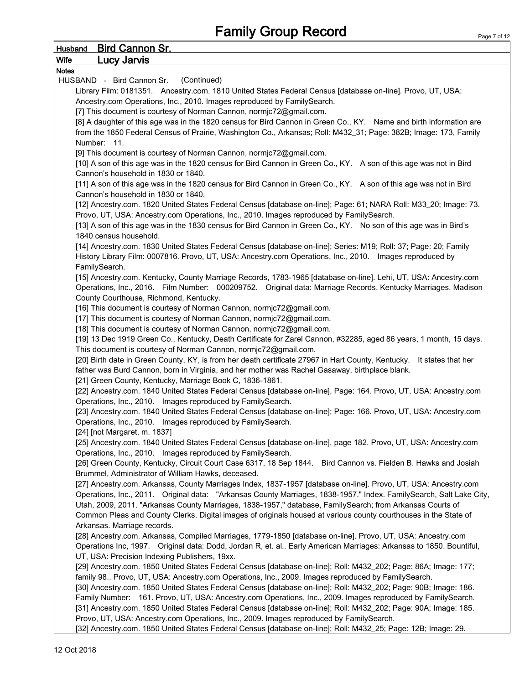#### Husband Bird Cannon Sr. Wife Lucy Jarvis Notes HUSBAND - Bird Cannon Sr. (Continued) Library Film: 0181351. Ancestry.com. 1810 United States Federal Census [database on-line]. Provo, UT, USA: Ancestry.com Operations, Inc., 2010. Images reproduced by FamilySearch. [7] This document is courtesy of Norman Cannon, normjc72@gmail.com. [8] A daughter of this age was in the 1820 census for Bird Cannon in Green Co., KY. Name and birth information are from the 1850 Federal Census of Prairie, Washington Co., Arkansas; Roll: M432\_31; Page: 382B; Image: 173, Family Number: 11. [9] This document is courtesy of Norman Cannon, normjc72@gmail.com. [10] A son of this age was in the 1820 census for Bird Cannon in Green Co., KY. A son of this age was not in Bird Cannon's household in 1830 or 1840. [11] A son of this age was in the 1820 census for Bird Cannon in Green Co., KY. A son of this age was not in Bird Cannon's household in 1830 or 1840. [12] Ancestry.com. 1820 United States Federal Census [database on-line]; Page: 61; NARA Roll: M33\_20; Image: 73. Provo, UT, USA: Ancestry.com Operations, Inc., 2010. Images reproduced by FamilySearch. [13] A son of this age was in the 1830 census for Bird Cannon in Green Co., KY. No son of this age was in Bird's 1840 census household. [14] Ancestry.com. 1830 United States Federal Census [database on-line]; Series: M19; Roll: 37; Page: 20; Family History Library Film: 0007816. Provo, UT, USA: Ancestry.com Operations, Inc., 2010. Images reproduced by FamilySearch. [15] Ancestry.com. Kentucky, County Marriage Records, 1783-1965 [database on-line]. Lehi, UT, USA: Ancestry.com Operations, Inc., 2016. Film Number: 000209752. Original data: Marriage Records. Kentucky Marriages. Madison County Courthouse, Richmond, Kentucky. [16] This document is courtesy of Norman Cannon, normjc72@gmail.com. [17] This document is courtesy of Norman Cannon, normjc72@gmail.com. [18] This document is courtesy of Norman Cannon, normjc72@gmail.com. [19] 13 Dec 1919 Green Co., Kentucky, Death Certificate for Zarel Cannon, #32285, aged 86 years, 1 month, 15 days. This document is courtesy of Norman Cannon, normjc72@gmail.com. [20] Birth date in Green County, KY, is from her death certificate 27967 in Hart County, Kentucky. It states that her father was Burd Cannon, born in Virginia, and her mother was Rachel Gasaway, birthplace blank. [21] Green County, Kentucky, Marriage Book C, 1836-1861. [22] Ancestry.com. 1840 United States Federal Census [database on-line], Page: 164. Provo, UT, USA: Ancestry.com Operations, Inc., 2010. Images reproduced by FamilySearch. [23] Ancestry.com. 1840 United States Federal Census [database on-line]; Page: 166. Provo, UT, USA: Ancestry.com Operations, Inc., 2010. Images reproduced by FamilySearch. [24] [not Margaret, m. 1837] [25] Ancestry.com. 1840 United States Federal Census [database on-line], page 182. Provo, UT, USA: Ancestry.com Operations, Inc., 2010. Images reproduced by FamilySearch. [26] Green County, Kentucky, Circuit Court Case 6317, 18 Sep 1844. Bird Cannon vs. Fielden B. Hawks and Josiah Brummel, Administrator of William Hawks, deceased. [27] Ancestry.com. Arkansas, County Marriages Index, 1837-1957 [database on-line]. Provo, UT, USA: Ancestry.com Operations, Inc., 2011. Original data: "Arkansas County Marriages, 1838-1957." Index. FamilySearch, Salt Lake City, Utah, 2009, 2011. "Arkansas County Marriages, 1838-1957," database, FamilySearch; from Arkansas Courts of Common Pleas and County Clerks. Digital images of originals housed at various county courthouses in the State of Arkansas. Marriage records. [28] Ancestry.com. Arkansas, Compiled Marriages, 1779-1850 [database on-line]. Provo, UT, USA: Ancestry.com Operations Inc, 1997. Original data: Dodd, Jordan R, et. al.. Early American Marriages: Arkansas to 1850. Bountiful, UT, USA: Precision Indexing Publishers, 19xx. [29] Ancestry.com. 1850 United States Federal Census [database on-line]; Roll: M432\_202; Page: 86A; Image: 177; family 98.. Provo, UT, USA: Ancestry.com Operations, Inc., 2009. Images reproduced by FamilySearch. [30] Ancestry.com. 1850 United States Federal Census [database on-line]; Roll: M432\_202; Page: 90B; Image: 186. Family Number: 161. Provo, UT, USA: Ancestry.com Operations, Inc., 2009. Images reproduced by FamilySearch. [31] Ancestry.com. 1850 United States Federal Census [database on-line]; Roll: M432\_202; Page: 90A; Image: 185. Provo, UT, USA: Ancestry.com Operations, Inc., 2009. Images reproduced by FamilySearch.

[32] Ancestry.com. 1850 United States Federal Census [database on-line]; Roll: M432\_25; Page: 12B; Image: 29.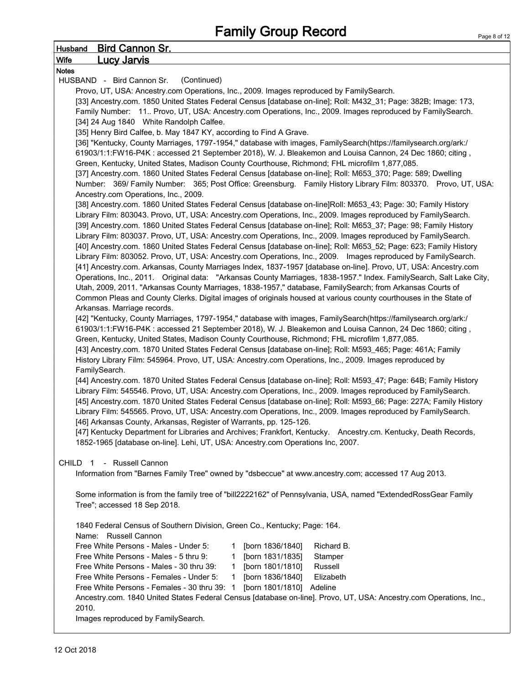| <u>Bird Cannon Sr.</u><br>Husband                                                                                   | ı ayu u |
|---------------------------------------------------------------------------------------------------------------------|---------|
| <u>Lucy Jarvis </u><br><b>Wife</b>                                                                                  |         |
| <b>Notes</b>                                                                                                        |         |
| (Continued)<br>HUSBAND - Bird Cannon Sr.                                                                            |         |
| Provo, UT, USA: Ancestry.com Operations, Inc., 2009. Images reproduced by FamilySearch.                             |         |
| [33] Ancestry.com. 1850 United States Federal Census [database on-line]; Roll: M432_31; Page: 382B; Image: 173,     |         |
| Family Number: 11 Provo, UT, USA: Ancestry.com Operations, Inc., 2009. Images reproduced by FamilySearch.           |         |
|                                                                                                                     |         |
| [34] 24 Aug 1840 White Randolph Calfee.                                                                             |         |
| [35] Henry Bird Calfee, b. May 1847 KY, according to Find A Grave.                                                  |         |
| [36] "Kentucky, County Marriages, 1797-1954," database with images, FamilySearch(https://familysearch.org/ark:/     |         |
| 61903/1:1:FW16-P4K : accessed 21 September 2018), W. J. Bleakemon and Louisa Cannon, 24 Dec 1860; citing,           |         |
| Green, Kentucky, United States, Madison County Courthouse, Richmond; FHL microfilm 1,877,085.                       |         |
| [37] Ancestry.com. 1860 United States Federal Census [database on-line]; Roll: M653_370; Page: 589; Dwelling        |         |
| Number: 369/ Family Number: 365; Post Office: Greensburg. Family History Library Film: 803370. Provo, UT, USA:      |         |
| Ancestry.com Operations, Inc., 2009.                                                                                |         |
| [38] Ancestry.com. 1860 United States Federal Census [database on-line]Roll: M653_43; Page: 30; Family History      |         |
| Library Film: 803043. Provo, UT, USA: Ancestry.com Operations, Inc., 2009. Images reproduced by FamilySearch.       |         |
| [39] Ancestry.com. 1860 United States Federal Census [database on-line]; Roll: M653_37; Page: 98; Family History    |         |
| Library Film: 803037. Provo, UT, USA: Ancestry.com Operations, Inc., 2009. Images reproduced by FamilySearch.       |         |
| [40] Ancestry.com. 1860 United States Federal Census [database on-line]; Roll: M653_52; Page: 623; Family History   |         |
| Library Film: 803052. Provo, UT, USA: Ancestry.com Operations, Inc., 2009. Images reproduced by FamilySearch.       |         |
| [41] Ancestry.com. Arkansas, County Marriages Index, 1837-1957 [database on-line]. Provo, UT, USA: Ancestry.com     |         |
| Operations, Inc., 2011. Original data: "Arkansas County Marriages, 1838-1957." Index. FamilySearch, Salt Lake City, |         |
| Utah, 2009, 2011. "Arkansas County Marriages, 1838-1957," database, FamilySearch; from Arkansas Courts of           |         |
| Common Pleas and County Clerks. Digital images of originals housed at various county courthouses in the State of    |         |
| Arkansas. Marriage records.                                                                                         |         |
| [42] "Kentucky, County Marriages, 1797-1954," database with images, FamilySearch(https://familysearch.org/ark:/     |         |
| 61903/1:1:FW16-P4K : accessed 21 September 2018), W. J. Bleakemon and Louisa Cannon, 24 Dec 1860; citing,           |         |
| Green, Kentucky, United States, Madison County Courthouse, Richmond; FHL microfilm 1,877,085.                       |         |
| [43] Ancestry.com. 1870 United States Federal Census [database on-line]; Roll: M593_465; Page: 461A; Family         |         |
| History Library Film: 545964. Provo, UT, USA: Ancestry.com Operations, Inc., 2009. Images reproduced by             |         |
| FamilySearch.                                                                                                       |         |
| [44] Ancestry.com. 1870 United States Federal Census [database on-line]; Roll: M593_47; Page: 64B; Family History   |         |
| Library Film: 545546. Provo, UT, USA: Ancestry.com Operations, Inc., 2009. Images reproduced by FamilySearch.       |         |
| [45] Ancestry.com. 1870 United States Federal Census [database on-line]; Roll: M593_66; Page: 227A; Family History  |         |
| Library Film: 545565. Provo, UT, USA: Ancestry.com Operations, Inc., 2009. Images reproduced by FamilySearch.       |         |
| [46] Arkansas County, Arkansas, Register of Warrants, pp. 125-126.                                                  |         |
| [47] Kentucky Department for Libraries and Archives; Frankfort, Kentucky. Ancestry.cm. Kentucky, Death Records,     |         |
| 1852-1965 [database on-line]. Lehi, UT, USA: Ancestry.com Operations Inc, 2007.                                     |         |
|                                                                                                                     |         |
| - Russell Cannon<br>CHILD 1                                                                                         |         |
| Information from "Barnes Family Tree" owned by "dsbeccue" at www.ancestry.com; accessed 17 Aug 2013.                |         |
| Some information is from the family tree of "bill2222162" of Pennsylvania, USA, named "ExtendedRossGear Family      |         |
|                                                                                                                     |         |
| Tree"; accessed 18 Sep 2018.                                                                                        |         |
| 1840 Federal Census of Southern Division, Green Co., Kentucky; Page: 164.                                           |         |
| Name: Russell Cannon                                                                                                |         |
|                                                                                                                     |         |
| Free White Persons - Males - Under 5:<br>Richard B.<br>[born 1836/1840]<br>1                                        |         |
| [born 1831/1835]<br>Free White Persons - Males - 5 thru 9:<br>Stamper<br>1                                          |         |
| [born 1801/1810]<br>Russell<br>Free White Persons - Males - 30 thru 39:<br>1                                        |         |
| Free White Persons - Females - Under 5:<br>[born 1836/1840]<br>Elizabeth<br>1                                       |         |
| Free White Persons - Females - 30 thru 39: 1<br>[born 1801/1810]<br>Adeline                                         |         |

Ancestry.com. 1840 United States Federal Census [database on-line]. Provo, UT, USA: Ancestry.com Operations, Inc., 2010.

Images reproduced by FamilySearch.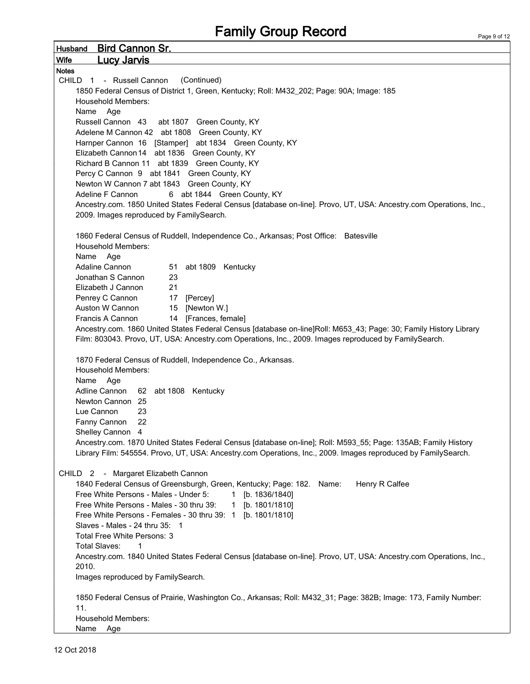Husband Bird Cannon Sr. Wife Lucy Jarvis Notes CHILD 1 - Russell Cannon (Continued) 1850 Federal Census of District 1, Green, Kentucky; Roll: M432\_202; Page: 90A; Image: 185 Household Members: Name Age Russell Cannon 43 abt 1807 Green County, KY Adelene M Cannon 42 abt 1808 Green County, KY Harnper Cannon 16 [Stamper] abt 1834 Green County, KY Elizabeth Cannon14 abt 1836 Green County, KY Richard B Cannon 11 abt 1839 Green County, KY Percy C Cannon 9 abt 1841 Green County, KY Newton W Cannon 7 abt 1843 Green County, KY Adeline F Cannon 6 abt 1844 Green County, KY Ancestry.com. 1850 United States Federal Census [database on-line]. Provo, UT, USA: Ancestry.com Operations, Inc., 2009. Images reproduced by FamilySearch. 1860 Federal Census of Ruddell, Independence Co., Arkansas; Post Office: Batesville Household Members: Name Age Adaline Cannon 51 abt 1809 Kentucky Jonathan S Cannon 23 Elizabeth J Cannon 21 Penrey C Cannon 17 [Percey] Auston W Cannon 15 [Newton W.] Francis A Cannon 14 [Frances, female] Ancestry.com. 1860 United States Federal Census [database on-line]Roll: M653\_43; Page: 30; Family History Library Film: 803043. Provo, UT, USA: Ancestry.com Operations, Inc., 2009. Images reproduced by FamilySearch. 1870 Federal Census of Ruddell, Independence Co., Arkansas. Household Members: Name Age Adline Cannon 62 abt 1808 Kentucky Newton Cannon 25 Lue Cannon 23 Fanny Cannon 22 Shelley Cannon 4 Ancestry.com. 1870 United States Federal Census [database on-line]; Roll: M593\_55; Page: 135AB; Family History Library Film: 545554. Provo, UT, USA: Ancestry.com Operations, Inc., 2009. Images reproduced by FamilySearch. CHILD 2 - Margaret Elizabeth Cannon 1840 Federal Census of Greensburgh, Green, Kentucky; Page: 182. Name: Henry R Calfee Free White Persons - Males - Under 5: 1 [b. 1836/1840] Free White Persons - Males - 30 thru 39: 1 [b. 1801/1810] Free White Persons - Females - 30 thru 39: 1 [b. 1801/1810] Slaves - Males - 24 thru 35: 1 Total Free White Persons: 3 Total Slaves: 1 Ancestry.com. 1840 United States Federal Census [database on-line]. Provo, UT, USA: Ancestry.com Operations, Inc., 2010. Images reproduced by FamilySearch. 1850 Federal Census of Prairie, Washington Co., Arkansas; Roll: M432\_31; Page: 382B; Image: 173, Family Number: 11. Household Members: Name Age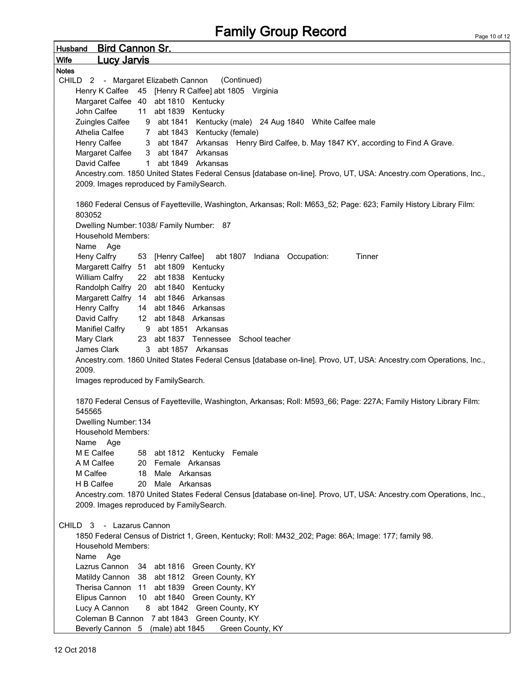Husband Bird Cannon Sr. Wife Lucy Jarvis Notes CHILD 2 - Margaret Elizabeth Cannon (Continued) Henry K Calfee 45 [Henry R Calfee] abt 1805 Virginia Margaret Calfee 40 abt 1810 Kentucky John Calfee 11 abt 1839 Kentucky Zuingles Calfee 9 abt 1841 Kentucky (male) 24 Aug 1840 White Calfee male Athelia Calfee 7 abt 1843 Kentucky (female) Henry Calfee 3 abt 1847 Arkansas Henry Bird Calfee, b. May 1847 KY, according to Find A Grave. Margaret Calfee 3 abt 1847 Arkansas David Calfee 1 abt 1849 Arkansas Ancestry.com. 1850 United States Federal Census [database on-line]. Provo, UT, USA: Ancestry.com Operations, Inc., 2009. Images reproduced by FamilySearch. 1860 Federal Census of Fayetteville, Washington, Arkansas; Roll: M653\_52; Page: 623; Family History Library Film: 803052 Dwelling Number:1038/ Family Number: 87 Household Members: Name Age Heny Calfry 53 [Henry Calfee] abt 1807 Indiana Occupation: Tinner Margarett Calfry 51 abt 1809 Kentucky William Calfry 22 abt 1838 Kentucky Randolph Calfry 20 abt 1840 Kentucky Margarett Calfry 14 abt 1846 Arkansas Henry Calfry 14 abt 1846 Arkansas David Calfry 12 abt 1848 Arkansas Manifiel Calfry 9 abt 1851 Arkansas Mary Clark 23 abt 1837 Tennessee School teacher James Clark 3 abt 1857 Arkansas Ancestry.com. 1860 United States Federal Census [database on-line]. Provo, UT, USA: Ancestry.com Operations, Inc., 2009. Images reproduced by FamilySearch. 1870 Federal Census of Fayetteville, Washington, Arkansas; Roll: M593\_66; Page: 227A; Family History Library Film: 545565 Dwelling Number:134 Household Members: Name Age M E Calfee 58 abt 1812 Kentucky Female A M Calfee 20 Female Arkansas M Calfee 18 Male Arkansas H B Calfee 20 Male Arkansas Ancestry.com. 1870 United States Federal Census [database on-line]. Provo, UT, USA: Ancestry.com Operations, Inc., 2009. Images reproduced by FamilySearch. CHILD 3 - Lazarus Cannon 1850 Federal Census of District 1, Green, Kentucky; Roll: M432\_202; Page: 86A; Image: 177; family 98. Household Members: Name Age Lazrus Cannon 34 abt 1816 Green County, KY Matildy Cannon 38 abt 1812 Green County, KY Therisa Cannon 11 abt 1839 Green County, KY Elipus Cannon 10 abt 1840 Green County, KY Lucy A Cannon 8 abt 1842 Green County, KY Coleman B Cannon 7 abt 1843 Green County, KY Beverly Cannon 5 (male) abt 1845 Green County, KY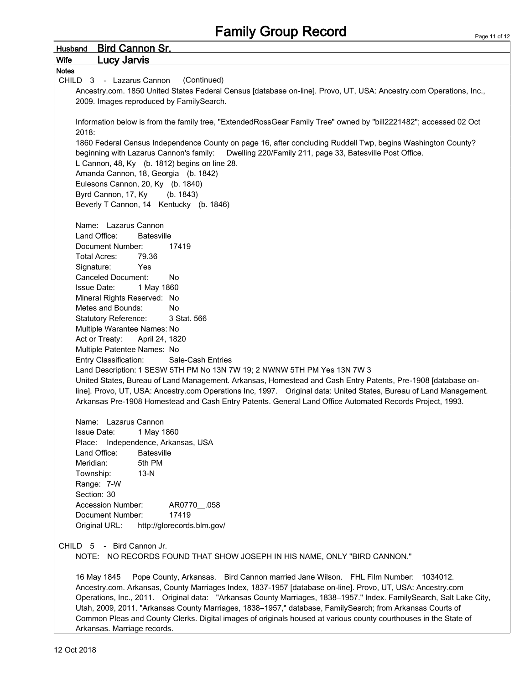| <b>Bird Cannon Sr.</b><br><b>Husband</b>                                                                                                                                                                         |
|------------------------------------------------------------------------------------------------------------------------------------------------------------------------------------------------------------------|
| <b>Lucy Jarvis</b><br><b>Wife</b>                                                                                                                                                                                |
| <b>Notes</b>                                                                                                                                                                                                     |
| (Continued)<br>CHILD 3 - Lazarus Cannon                                                                                                                                                                          |
| Ancestry.com. 1850 United States Federal Census [database on-line]. Provo, UT, USA: Ancestry.com Operations, Inc.,                                                                                               |
| 2009. Images reproduced by FamilySearch.                                                                                                                                                                         |
|                                                                                                                                                                                                                  |
| Information below is from the family tree, "ExtendedRossGear Family Tree" owned by "bill2221482"; accessed 02 Oct                                                                                                |
| 2018:                                                                                                                                                                                                            |
| 1860 Federal Census Independence County on page 16, after concluding Ruddell Twp, begins Washington County?<br>beginning with Lazarus Cannon's family: Dwelling 220/Family 211, page 33, Batesville Post Office. |
| L Cannon, 48, Ky (b. 1812) begins on line 28.                                                                                                                                                                    |
| Amanda Cannon, 18, Georgia (b. 1842)                                                                                                                                                                             |
| Eulesons Cannon, 20, Ky (b. 1840)                                                                                                                                                                                |
| Byrd Cannon, 17, Ky<br>(b. 1843)                                                                                                                                                                                 |
| Beverly T Cannon, 14 Kentucky (b. 1846)                                                                                                                                                                          |
|                                                                                                                                                                                                                  |
| Name: Lazarus Cannon                                                                                                                                                                                             |
| Land Office:<br>Batesville                                                                                                                                                                                       |
| Document Number:<br>17419                                                                                                                                                                                        |
| <b>Total Acres:</b><br>79.36                                                                                                                                                                                     |
| Signature:<br>Yes                                                                                                                                                                                                |
| <b>Canceled Document:</b><br>No                                                                                                                                                                                  |
| 1 May 1860<br><b>Issue Date:</b>                                                                                                                                                                                 |
| Mineral Rights Reserved: No                                                                                                                                                                                      |
| Metes and Bounds:<br><b>No</b>                                                                                                                                                                                   |
| <b>Statutory Reference:</b><br>3 Stat. 566                                                                                                                                                                       |
| Multiple Warantee Names: No                                                                                                                                                                                      |
| Act or Treaty:<br>April 24, 1820                                                                                                                                                                                 |
| Multiple Patentee Names: No                                                                                                                                                                                      |
| Entry Classification:<br>Sale-Cash Entries<br>Land Description: 1 SESW 5TH PM No 13N 7W 19; 2 NWNW 5TH PM Yes 13N 7W 3                                                                                           |
| United States, Bureau of Land Management. Arkansas, Homestead and Cash Entry Patents, Pre-1908 [database on-                                                                                                     |
| line]. Provo, UT, USA: Ancestry.com Operations Inc, 1997. Original data: United States, Bureau of Land Management.                                                                                               |
| Arkansas Pre-1908 Homestead and Cash Entry Patents. General Land Office Automated Records Project, 1993.                                                                                                         |
|                                                                                                                                                                                                                  |
| Name: Lazarus Cannon                                                                                                                                                                                             |
| 1 May 1860<br><b>Issue Date:</b>                                                                                                                                                                                 |
| Independence, Arkansas, USA<br>Place:                                                                                                                                                                            |
| <b>Batesville</b><br>Land Office:                                                                                                                                                                                |
| Meridian:<br>5th PM                                                                                                                                                                                              |
| $13-N$<br>Township:                                                                                                                                                                                              |
| Range: 7-W                                                                                                                                                                                                       |
| Section: 30                                                                                                                                                                                                      |
| <b>Accession Number:</b><br>AR0770_058                                                                                                                                                                           |
| Document Number:<br>17419                                                                                                                                                                                        |
| Original URL:<br>http://glorecords.blm.gov/                                                                                                                                                                      |
|                                                                                                                                                                                                                  |
| CHILD 5 - Bird Cannon Jr.                                                                                                                                                                                        |
| NOTE: NO RECORDS FOUND THAT SHOW JOSEPH IN HIS NAME, ONLY "BIRD CANNON."                                                                                                                                         |
| Pope County, Arkansas. Bird Cannon married Jane Wilson. FHL Film Number: 1034012.<br>16 May 1845                                                                                                                 |
| Ancestry.com. Arkansas, County Marriages Index, 1837-1957 [database on-line]. Provo, UT, USA: Ancestry.com                                                                                                       |
| Operations, Inc., 2011. Original data: "Arkansas County Marriages, 1838-1957." Index. FamilySearch, Salt Lake City,                                                                                              |
| Utah, 2009, 2011. "Arkansas County Marriages, 1838-1957," database, FamilySearch; from Arkansas Courts of                                                                                                        |
| Common Pleas and County Clerks. Digital images of originals housed at various county courthouses in the State of                                                                                                 |
| Arkansas. Marriage records.                                                                                                                                                                                      |
|                                                                                                                                                                                                                  |